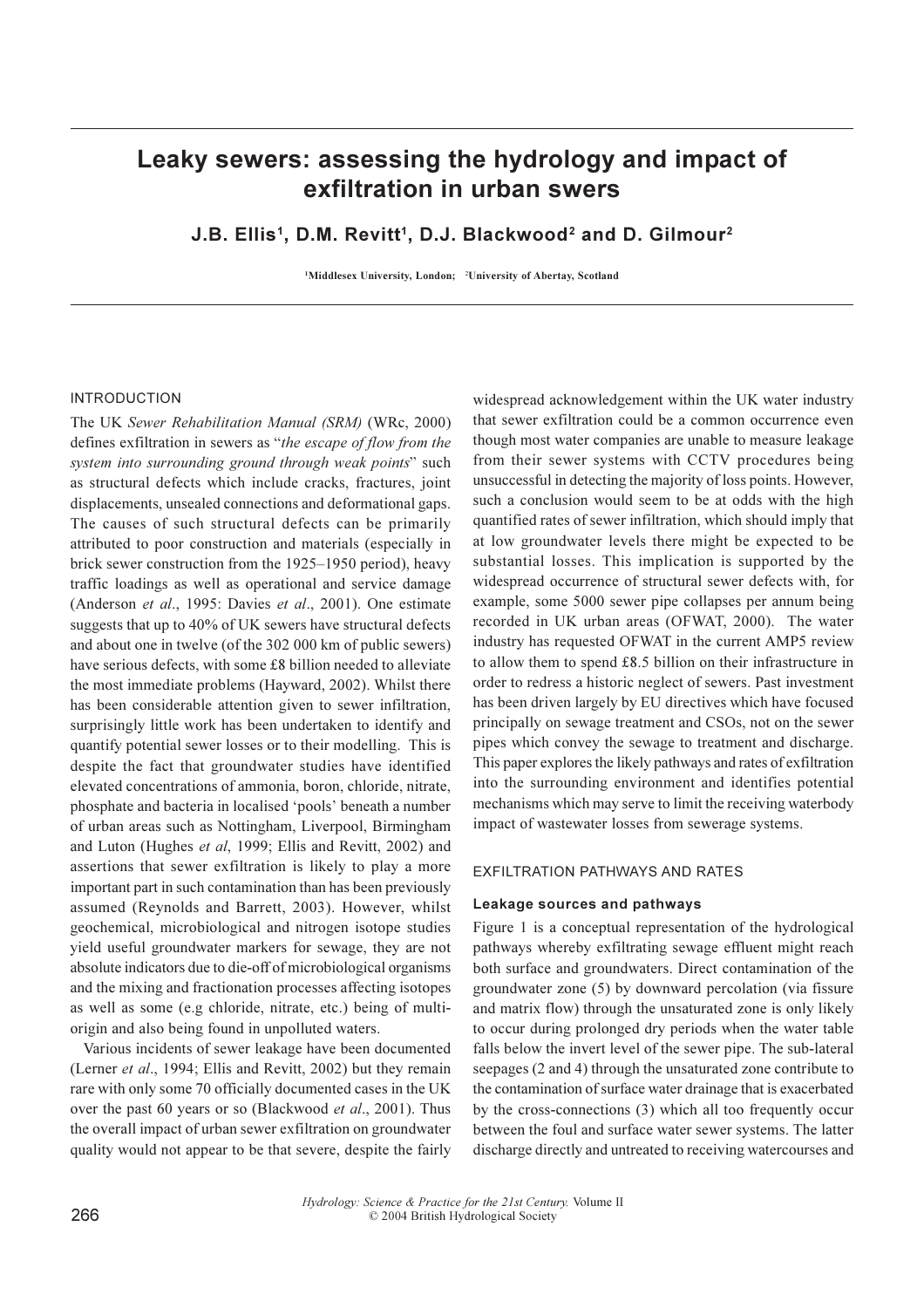# Leaky sewers: assessing the hydrology and impact of exfiltration in urban swers

J.B. Ellis<sup>1</sup>, D.M. Revitt<sup>1</sup>, D.J. Blackwood<sup>2</sup> and D. Gilmour<sup>2</sup>

<sup>1</sup>Middlesex University, London; <sup>2</sup>University of Abertay, Scotland

# **INTRODUCTION**

The UK Sewer Rehabilitation Manual (SRM) (WRc, 2000) defines exfiltration in sewers as "the escape of flow from the system into surrounding ground through weak points" such as structural defects which include cracks, fractures, joint displacements, unsealed connections and deformational gaps. The causes of such structural defects can be primarily attributed to poor construction and materials (especially in brick sewer construction from the 1925–1950 period), heavy traffic loadings as well as operational and service damage (Anderson et al., 1995: Davies et al., 2001). One estimate suggests that up to 40% of UK sewers have structural defects and about one in twelve (of the 302 000 km of public sewers) have serious defects, with some £8 billion needed to alleviate the most immediate problems (Hayward, 2002). Whilst there has been considerable attention given to sewer infiltration, surprisingly little work has been undertaken to identify and quantify potential sewer losses or to their modelling. This is despite the fact that groundwater studies have identified elevated concentrations of ammonia, boron, chloride, nitrate, phosphate and bacteria in localised 'pools' beneath a number of urban areas such as Nottingham, Liverpool, Birmingham and Luton (Hughes et al, 1999; Ellis and Revitt, 2002) and assertions that sewer exfiltration is likely to play a more important part in such contamination than has been previously assumed (Reynolds and Barrett, 2003). However, whilst geochemical, microbiological and nitrogen isotope studies yield useful groundwater markers for sewage, they are not absolute indicators due to die-off of microbiological organisms and the mixing and fractionation processes affecting isotopes as well as some (e.g chloride, nitrate, etc.) being of multiorigin and also being found in unpolluted waters.

Various incidents of sewer leakage have been documented (Lerner et al., 1994; Ellis and Revitt, 2002) but they remain rare with only some 70 officially documented cases in the UK over the past 60 years or so (Blackwood et al., 2001). Thus the overall impact of urban sewer exfiltration on groundwater quality would not appear to be that severe, despite the fairly

widespread acknowledgement within the UK water industry that sewer exfiltration could be a common occurrence even though most water companies are unable to measure leakage from their sewer systems with CCTV procedures being unsuccessful in detecting the majority of loss points. However, such a conclusion would seem to be at odds with the high quantified rates of sewer infiltration, which should imply that at low groundwater levels there might be expected to be substantial losses. This implication is supported by the widespread occurrence of structural sewer defects with, for example, some 5000 sewer pipe collapses per annum being recorded in UK urban areas (OFWAT, 2000). The water industry has requested OFWAT in the current AMP5 review to allow them to spend  $£8.5$  billion on their infrastructure in order to redress a historic neglect of sewers. Past investment has been driven largely by EU directives which have focused principally on sewage treatment and CSOs, not on the sewer pipes which convey the sewage to treatment and discharge. This paper explores the likely pathways and rates of exfiltration into the surrounding environment and identifies potential mechanisms which may serve to limit the receiving waterbody impact of wastewater losses from sewerage systems.

## **EXFILTRATION PATHWAYS AND RATES**

## Leakage sources and pathways

Figure 1 is a conceptual representation of the hydrological pathways whereby exfiltrating sewage effluent might reach both surface and groundwaters. Direct contamination of the groundwater zone (5) by downward percolation (via fissure and matrix flow) through the unsaturated zone is only likely to occur during prolonged dry periods when the water table falls below the invert level of the sewer pipe. The sub-lateral seepages (2 and 4) through the unsaturated zone contribute to the contamination of surface water drainage that is exacerbated by the cross-connections (3) which all too frequently occur between the foul and surface water sewer systems. The latter discharge directly and untreated to receiving watercourses and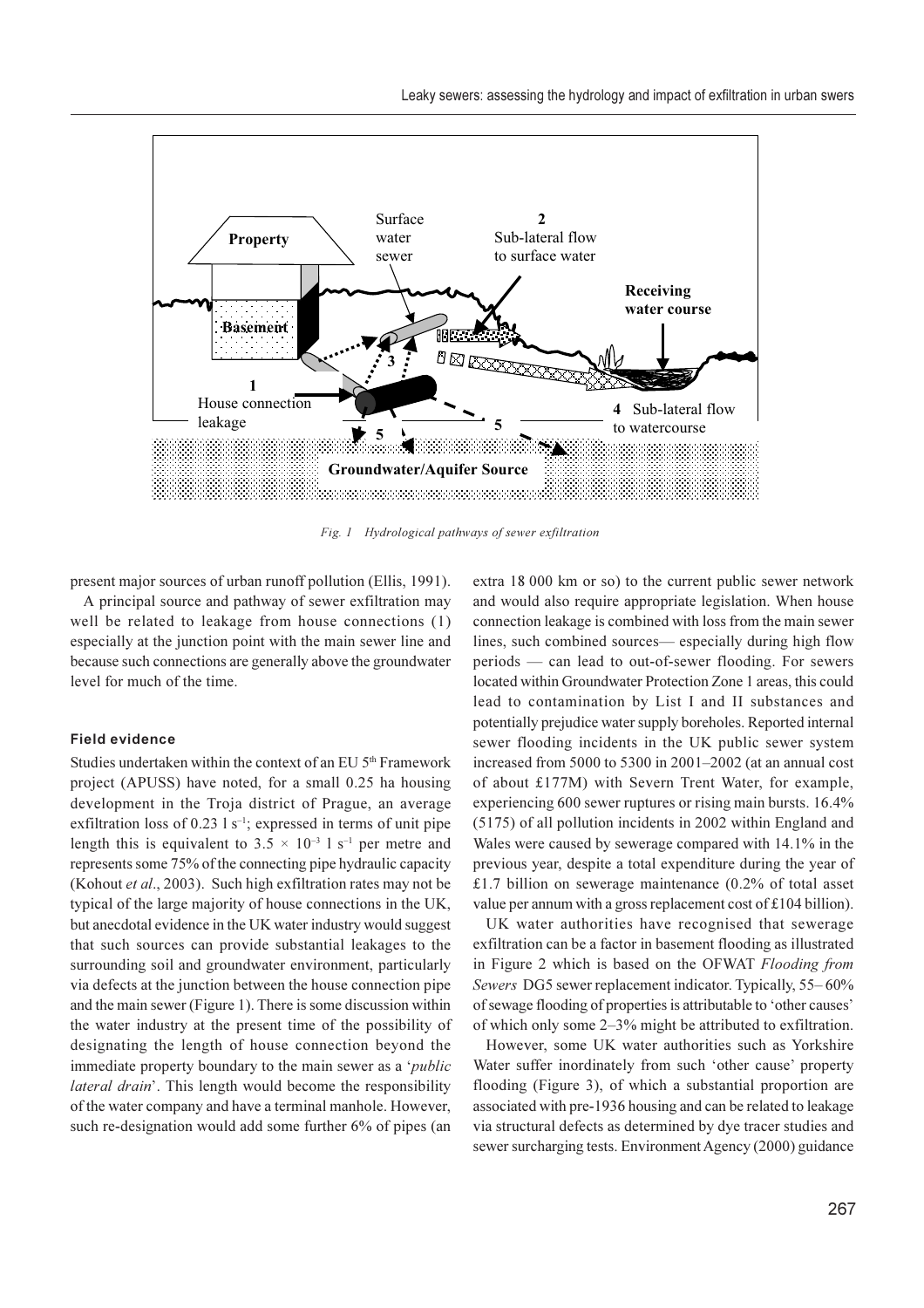

Fig. 1 Hydrological pathways of sewer exfiltration

present major sources of urban runoff pollution (Ellis, 1991).

A principal source and pathway of sewer exfiltration may well be related to leakage from house connections (1) especially at the junction point with the main sewer line and because such connections are generally above the groundwater level for much of the time.

#### **Field evidence**

Studies undertaken within the context of an EU 5<sup>th</sup> Framework project (APUSS) have noted, for a small 0.25 ha housing development in the Troja district of Prague, an average exfiltration loss of 0.23  $1 s^{-1}$ ; expressed in terms of unit pipe length this is equivalent to  $3.5 \times 10^{-3}$  l s<sup>-1</sup> per metre and represents some 75% of the connecting pipe hydraulic capacity (Kohout et al., 2003). Such high exfiltration rates may not be typical of the large majority of house connections in the UK, but anecdotal evidence in the UK water industry would suggest that such sources can provide substantial leakages to the surrounding soil and groundwater environment, particularly via defects at the junction between the house connection pipe and the main sewer (Figure 1). There is some discussion within the water industry at the present time of the possibility of designating the length of house connection beyond the immediate property boundary to the main sewer as a '*public lateral drain'*. This length would become the responsibility of the water company and have a terminal manhole. However, such re-designation would add some further 6% of pipes (an extra 18 000 km or so) to the current public sewer network and would also require appropriate legislation. When house connection leakage is combined with loss from the main sewer lines, such combined sources— especially during high flow periods - can lead to out-of-sewer flooding. For sewers located within Groundwater Protection Zone 1 areas, this could lead to contamination by List I and II substances and potentially prejudice water supply boreholes. Reported internal sewer flooding incidents in the UK public sewer system increased from 5000 to 5300 in 2001–2002 (at an annual cost of about £177M) with Severn Trent Water, for example, experiencing 600 sewer ruptures or rising main bursts. 16.4% (5175) of all pollution incidents in 2002 within England and Wales were caused by sewerage compared with 14.1% in the previous year, despite a total expenditure during the year of £1.7 billion on sewerage maintenance  $(0.2%$  of total asset value per annum with a gross replacement cost of £104 billion).

UK water authorities have recognised that sewerage exfiltration can be a factor in basement flooding as illustrated in Figure 2 which is based on the OFWAT Flooding from Sewers DG5 sewer replacement indicator. Typically, 55–60% of sewage flooding of properties is attributable to 'other causes' of which only some 2–3% might be attributed to exfiltration.

However, some UK water authorities such as Yorkshire Water suffer inordinately from such 'other cause' property flooding (Figure 3), of which a substantial proportion are associated with pre-1936 housing and can be related to leakage via structural defects as determined by dye tracer studies and sewer surcharging tests. Environment Agency (2000) guidance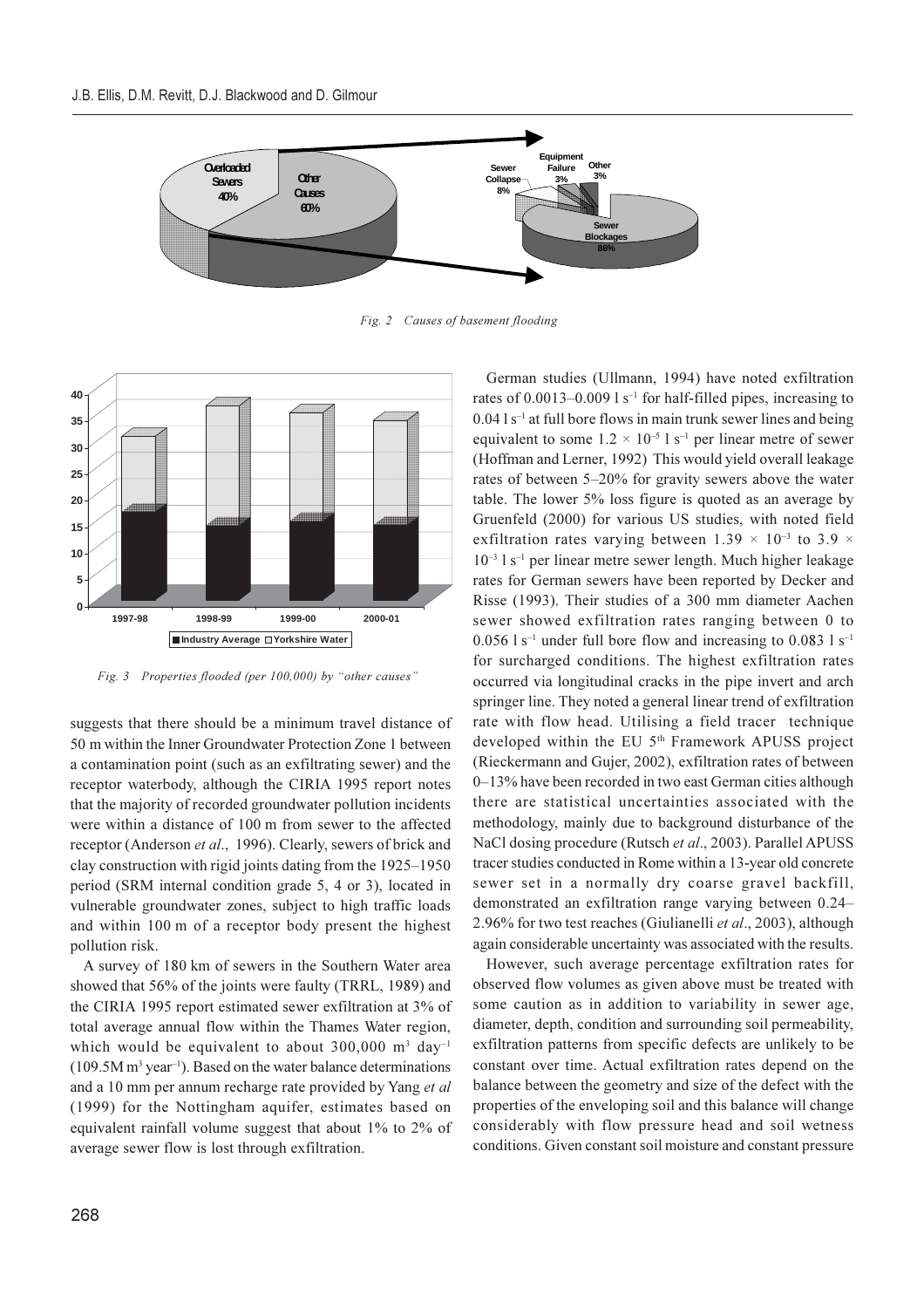

Fig. 2 Causes of basement flooding



Fig. 3 Properties flooded (per 100,000) by "other causes"

suggests that there should be a minimum travel distance of 50 m within the Inner Groundwater Protection Zone 1 between a contamination point (such as an exfiltrating sewer) and the receptor waterbody, although the CIRIA 1995 report notes that the majority of recorded groundwater pollution incidents were within a distance of 100 m from sewer to the affected receptor (Anderson et al., 1996). Clearly, sewers of brick and clay construction with rigid joints dating from the 1925–1950 period (SRM internal condition grade 5, 4 or 3), located in vulnerable groundwater zones, subject to high traffic loads and within 100 m of a receptor body present the highest pollution risk.

A survey of 180 km of sewers in the Southern Water area showed that 56% of the joints were faulty (TRRL, 1989) and the CIRIA 1995 report estimated sewer exfiltration at 3% of total average annual flow within the Thames Water region, which would be equivalent to about  $300,000$  m<sup>3</sup> day<sup>-1</sup>  $(109.5M \text{ m}^3 \text{ year}^{-1})$ . Based on the water balance determinations and a 10 mm per annum recharge rate provided by Yang et al (1999) for the Nottingham aquifer, estimates based on equivalent rainfall volume suggest that about 1% to 2% of average sewer flow is lost through exfiltration.

German studies (Ullmann, 1994) have noted exfiltration rates of 0.0013-0.009  $1 s^{-1}$  for half-filled pipes, increasing to  $0.04$  l s<sup>-1</sup> at full bore flows in main trunk sewer lines and being equivalent to some  $1.2 \times 10^{-5}$  l s<sup>-1</sup> per linear metre of sewer (Hoffman and Lerner, 1992) This would yield overall leakage rates of between 5–20% for gravity sewers above the water table. The lower 5% loss figure is quoted as an average by Gruenfeld (2000) for various US studies, with noted field exfiltration rates varying between 1.39  $\times$  10<sup>-3</sup> to 3.9  $\times$  $10^{-3}$  l s<sup>-1</sup> per linear metre sewer length. Much higher leakage rates for German sewers have been reported by Decker and Risse (1993). Their studies of a 300 mm diameter Aachen sewer showed exfiltration rates ranging between 0 to  $0.056$  l s<sup>-1</sup> under full bore flow and increasing to 0.083 l s<sup>-1</sup> for surcharged conditions. The highest exfiltration rates occurred via longitudinal cracks in the pipe invert and arch springer line. They noted a general linear trend of exfiltration rate with flow head. Utilising a field tracer technique developed within the EU 5<sup>th</sup> Framework APUSS project (Rieckermann and Gujer, 2002), exfiltration rates of between 0-13% have been recorded in two east German cities although there are statistical uncertainties associated with the methodology, mainly due to background disturbance of the NaCl dosing procedure (Rutsch et al., 2003). Parallel APUSS tracer studies conducted in Rome within a 13-year old concrete sewer set in a normally dry coarse gravel backfill, demonstrated an exfiltration range varying between 0.24– 2.96% for two test reaches (Giulianelli et al., 2003), although again considerable uncertainty was associated with the results.

However, such average percentage exfiltration rates for observed flow volumes as given above must be treated with some caution as in addition to variability in sewer age, diameter, depth, condition and surrounding soil permeability, exfiltration patterns from specific defects are unlikely to be constant over time. Actual exfiltration rates depend on the balance between the geometry and size of the defect with the properties of the enveloping soil and this balance will change considerably with flow pressure head and soil wetness conditions. Given constant soil moisture and constant pressure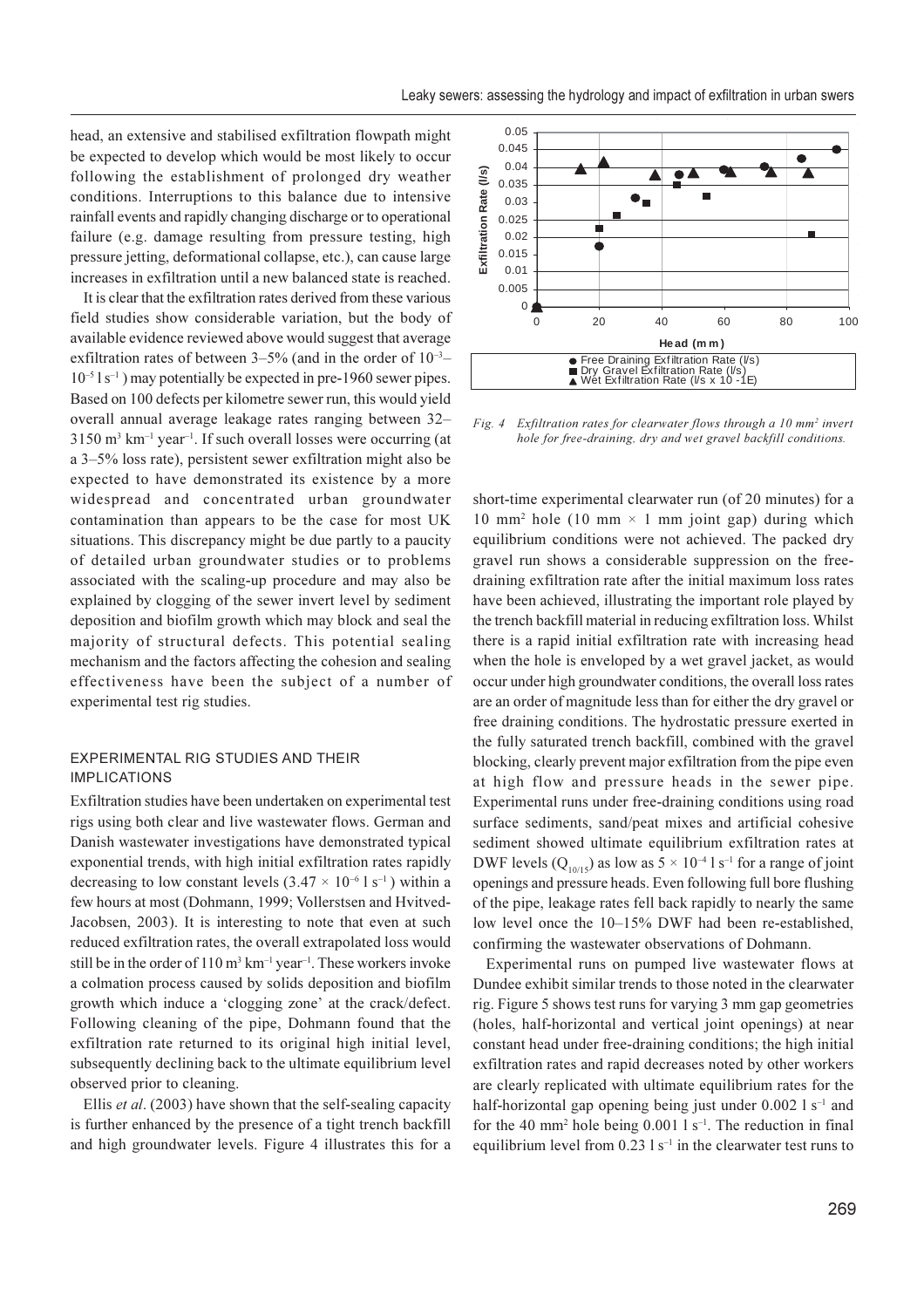head, an extensive and stabilised exfiltration flowpath might be expected to develop which would be most likely to occur following the establishment of prolonged dry weather conditions. Interruptions to this balance due to intensive rainfall events and rapidly changing discharge or to operational failure (e.g. damage resulting from pressure testing, high pressure jetting, deformational collapse, etc.), can cause large increases in exfiltration until a new balanced state is reached.

It is clear that the exfiltration rates derived from these various field studies show considerable variation, but the body of available evidence reviewed above would suggest that average exfiltration rates of between  $3-5\%$  (and in the order of  $10^{-3}$ –  $10^{-5}$  l s<sup>-1</sup>) may potentially be expected in pre-1960 sewer pipes. Based on 100 defects per kilometre sewer run, this would yield overall annual average leakage rates ranging between 32- $3150$  m<sup>3</sup> km<sup>-1</sup> year<sup>-1</sup>. If such overall losses were occurring (at a 3–5% loss rate), persistent sewer exfiltration might also be expected to have demonstrated its existence by a more widespread and concentrated urban groundwater contamination than appears to be the case for most UK situations. This discrepancy might be due partly to a paucity of detailed urban groundwater studies or to problems associated with the scaling-up procedure and may also be explained by clogging of the sewer invert level by sediment deposition and biofilm growth which may block and seal the majority of structural defects. This potential sealing mechanism and the factors affecting the cohesion and sealing effectiveness have been the subject of a number of experimental test rig studies.

# EXPERIMENTAL RIG STUDIES AND THEIR **IMPLICATIONS**

Exfiltration studies have been undertaken on experimental test rigs using both clear and live wastewater flows. German and Danish wastewater investigations have demonstrated typical exponential trends, with high initial exfiltration rates rapidly decreasing to low constant levels  $(3.47 \times 10^{-6} \text{ kg}^{-1})$  within a few hours at most (Dohmann, 1999; Vollerstsen and Hvitved-Jacobsen, 2003). It is interesting to note that even at such reduced exfiltration rates, the overall extrapolated loss would still be in the order of  $110 \text{ m}^3 \text{ km}^{-1} \text{ year}^{-1}$ . These workers invoke a colmation process caused by solids deposition and biofilm growth which induce a 'clogging zone' at the crack/defect. Following cleaning of the pipe, Dohmann found that the exfiltration rate returned to its original high initial level, subsequently declining back to the ultimate equilibrium level observed prior to cleaning.

Ellis et al. (2003) have shown that the self-sealing capacity is further enhanced by the presence of a tight trench backfill and high groundwater levels. Figure 4 illustrates this for a



Fig. 4 Exfiltration rates for clearwater flows through a 10 mm<sup>2</sup> invert hole for free-draining, dry and wet gravel backfill conditions.

short-time experimental clearwater run (of 20 minutes) for a 10 mm<sup>2</sup> hole (10 mm  $\times$  1 mm joint gap) during which equilibrium conditions were not achieved. The packed dry gravel run shows a considerable suppression on the freedraining exfiltration rate after the initial maximum loss rates have been achieved, illustrating the important role played by the trench backfill material in reducing exfiltration loss. Whilst there is a rapid initial exfiltration rate with increasing head when the hole is enveloped by a wet gravel jacket, as would occur under high groundwater conditions, the overall loss rates are an order of magnitude less than for either the dry gravel or free draining conditions. The hydrostatic pressure exerted in the fully saturated trench backfill, combined with the gravel blocking, clearly prevent major exfiltration from the pipe even at high flow and pressure heads in the sewer pipe. Experimental runs under free-draining conditions using road surface sediments, sand/peat mixes and artificial cohesive sediment showed ultimate equilibrium exfiltration rates at DWF levels  $(Q_{10/15})$  as low as  $5 \times 10^{-4}$  l s<sup>-1</sup> for a range of joint openings and pressure heads. Even following full bore flushing of the pipe, leakage rates fell back rapidly to nearly the same low level once the 10–15% DWF had been re-established, confirming the wastewater observations of Dohmann.

Experimental runs on pumped live wastewater flows at Dundee exhibit similar trends to those noted in the clearwater rig. Figure 5 shows test runs for varying 3 mm gap geometries (holes, half-horizontal and vertical joint openings) at near constant head under free-draining conditions; the high initial exfiltration rates and rapid decreases noted by other workers are clearly replicated with ultimate equilibrium rates for the half-horizontal gap opening being just under  $0.002 \, 1 \, \text{s}^{-1}$  and for the 40 mm<sup>2</sup> hole being  $0.001$  l s<sup>-1</sup>. The reduction in final equilibrium level from  $0.23 \text{ l s}^{-1}$  in the clearwater test runs to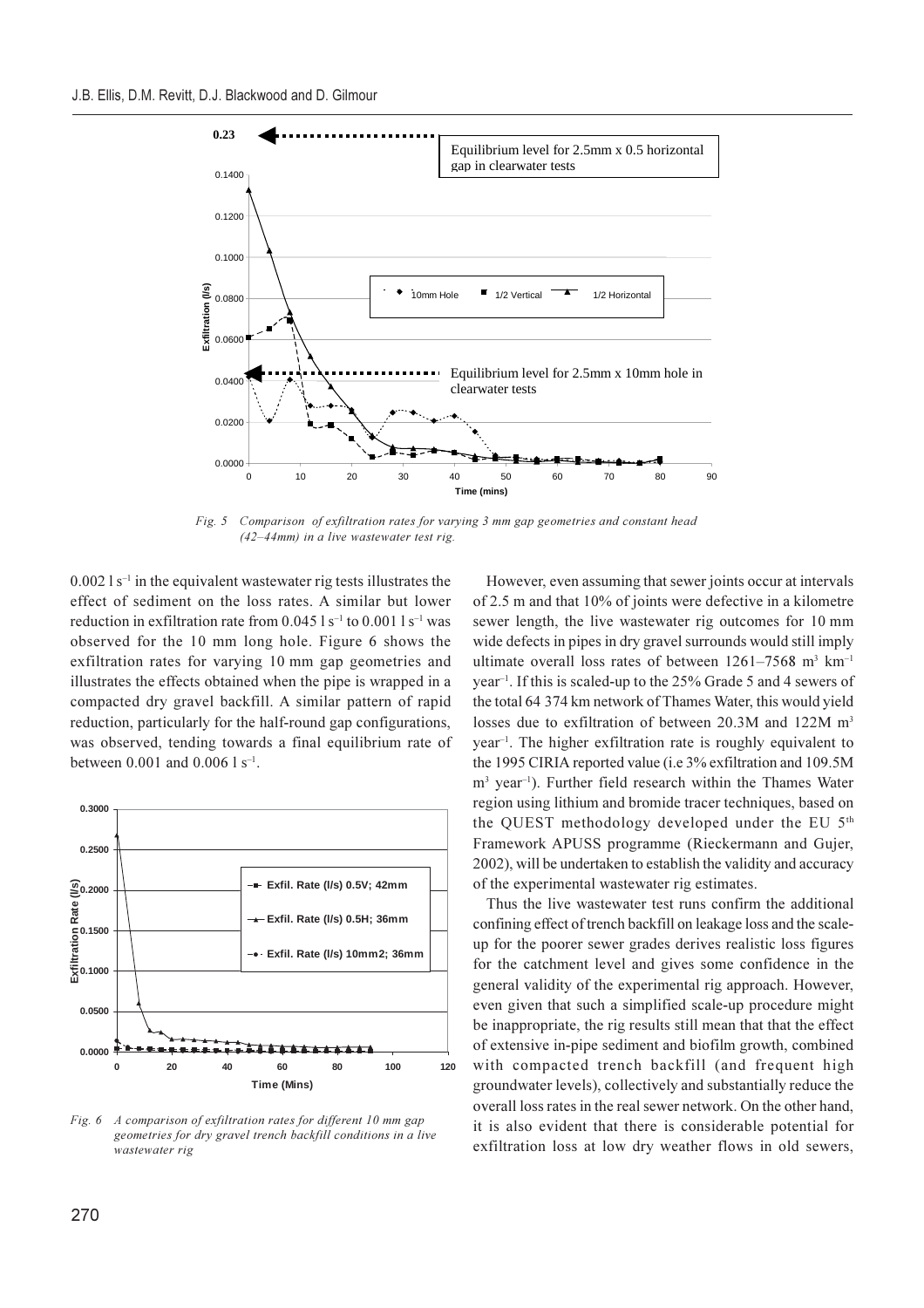

 $Fig. 5$ Comparison of exfiltration rates for varying 3 mm gap geometries and constant head  $(42 - 44$ mm) in a live wastewater test rig.

 $0.002$  l s<sup>-1</sup> in the equivalent was tewater rig tests illustrates the effect of sediment on the loss rates. A similar but lower reduction in exfiltration rate from  $0.045$  l s<sup>-1</sup> to  $0.001$  l s<sup>-1</sup> was observed for the 10 mm long hole. Figure 6 shows the exfiltration rates for varying 10 mm gap geometries and illustrates the effects obtained when the pipe is wrapped in a compacted dry gravel backfill. A similar pattern of rapid reduction, particularly for the half-round gap configurations, was observed, tending towards a final equilibrium rate of between 0.001 and 0.006  $1 s^{-1}$ .



Fig. 6 A comparison of exfiltration rates for different 10 mm gap geometries for dry gravel trench backfill conditions in a live wastewater rig

However, even assuming that sewer joints occur at intervals of 2.5 m and that 10% of joints were defective in a kilometre sewer length, the live wastewater rig outcomes for 10 mm wide defects in pipes in dry gravel surrounds would still imply ultimate overall loss rates of between  $1261-7568$  m<sup>3</sup> km<sup>-1</sup> year<sup>-1</sup>. If this is scaled-up to the 25% Grade 5 and 4 sewers of the total 64 374 km network of Thames Water, this would yield losses due to exfiltration of between 20.3M and 122M m<sup>3</sup> year<sup>-1</sup>. The higher exfiltration rate is roughly equivalent to the 1995 CIRIA reported value (i.e 3% exfiltration and 109.5M m<sup>3</sup> year<sup>-1</sup>). Further field research within the Thames Water region using lithium and bromide tracer techniques, based on the QUEST methodology developed under the EU 5th Framework APUSS programme (Rieckermann and Gujer, 2002), will be undertaken to establish the validity and accuracy of the experimental wastewater rig estimates.

Thus the live wastewater test runs confirm the additional confining effect of trench backfill on leakage loss and the scaleup for the poorer sewer grades derives realistic loss figures for the catchment level and gives some confidence in the general validity of the experimental rig approach. However, even given that such a simplified scale-up procedure might be inappropriate, the rig results still mean that that the effect of extensive in-pipe sediment and biofilm growth, combined with compacted trench backfill (and frequent high groundwater levels), collectively and substantially reduce the overall loss rates in the real sewer network. On the other hand, it is also evident that there is considerable potential for exfiltration loss at low dry weather flows in old sewers,